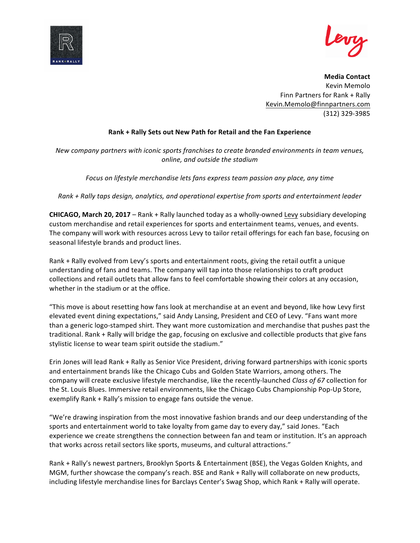



**Media Contact** Kevin Memolo Finn Partners for Rank + Rally Kevin.Memolo@finnpartners.com (312) 329-3985

## **Rank + Rally Sets out New Path for Retail and the Fan Experience**

*New company partners with iconic sports franchises to create branded environments in team venues, online, and outside the stadium*

*Focus on lifestyle merchandise lets fans express team passion any place, any time*

*Rank + Rally taps design, analytics, and operational expertise from sports and entertainment leader*

**CHICAGO, March 20, 2017** – Rank + Rally launched today as a wholly-owned Levy subsidiary developing custom merchandise and retail experiences for sports and entertainment teams, venues, and events. The company will work with resources across Levy to tailor retail offerings for each fan base, focusing on seasonal lifestyle brands and product lines.

Rank + Rally evolved from Levy's sports and entertainment roots, giving the retail outfit a unique understanding of fans and teams. The company will tap into those relationships to craft product collections and retail outlets that allow fans to feel comfortable showing their colors at any occasion, whether in the stadium or at the office.

"This move is about resetting how fans look at merchandise at an event and beyond, like how Levy first elevated event dining expectations," said Andy Lansing, President and CEO of Levy. "Fans want more than a generic logo-stamped shirt. They want more customization and merchandise that pushes past the traditional. Rank + Rally will bridge the gap, focusing on exclusive and collectible products that give fans stylistic license to wear team spirit outside the stadium."

Erin Jones will lead Rank + Rally as Senior Vice President, driving forward partnerships with iconic sports and entertainment brands like the Chicago Cubs and Golden State Warriors, among others. The company will create exclusive lifestyle merchandise, like the recently-launched *Class of 67* collection for the St. Louis Blues. Immersive retail environments, like the Chicago Cubs Championship Pop-Up Store, exemplify Rank + Rally's mission to engage fans outside the venue. 

"We're drawing inspiration from the most innovative fashion brands and our deep understanding of the sports and entertainment world to take loyalty from game day to every day," said Jones. "Each experience we create strengthens the connection between fan and team or institution. It's an approach that works across retail sectors like sports, museums, and cultural attractions."

Rank + Rally's newest partners, Brooklyn Sports & Entertainment (BSE), the Vegas Golden Knights, and MGM, further showcase the company's reach. BSE and Rank + Rally will collaborate on new products, including lifestyle merchandise lines for Barclays Center's Swag Shop, which Rank + Rally will operate.